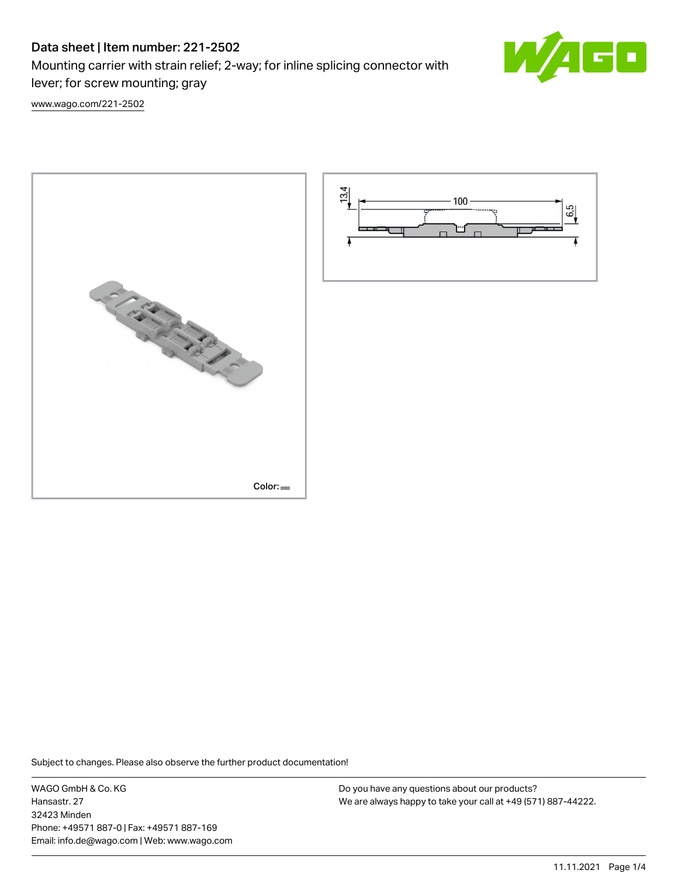# Data sheet | Item number: 221-2502

Mounting carrier with strain relief; 2-way; for inline splicing connector with lever; for screw mounting; gray



[www.wago.com/221-2502](http://www.wago.com/221-2502)





Subject to changes. Please also observe the further product documentation!

WAGO GmbH & Co. KG Hansastr. 27 32423 Minden Phone: +49571 887-0 | Fax: +49571 887-169 Email: info.de@wago.com | Web: www.wago.com

Do you have any questions about our products? We are always happy to take your call at +49 (571) 887-44222.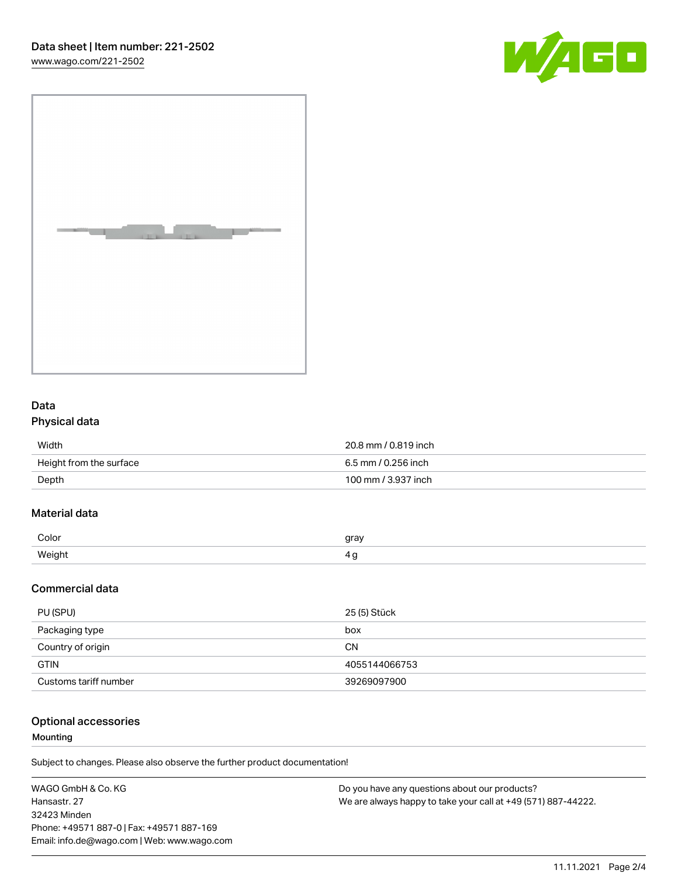[www.wago.com/221-2502](http://www.wago.com/221-2502)





# Data Physical data

| Width                   | 20.8 mm / 0.819 inch |
|-------------------------|----------------------|
| Height from the surface | 6.5 mm / 0.256 inch  |
| Depth                   | 100 mm / 3.937 inch  |

## Material data

| Color     | rr01 |
|-----------|------|
| Weiał<br> |      |

### Commercial data

| PU (SPU)              | 25 (5) Stück  |
|-----------------------|---------------|
| Packaging type        | box           |
| Country of origin     | СN            |
| <b>GTIN</b>           | 4055144066753 |
| Customs tariff number | 39269097900   |

### Optional accessories

#### Mounting

Subject to changes. Please also observe the further product documentation!

| WAGO GmbH & Co. KG                          | Do you have any questions about our products?                 |
|---------------------------------------------|---------------------------------------------------------------|
| Hansastr. 27                                | We are always happy to take your call at +49 (571) 887-44222. |
| 32423 Minden                                |                                                               |
| Phone: +49571 887-0   Fax: +49571 887-169   |                                                               |
| Email: info.de@wago.com   Web: www.wago.com |                                                               |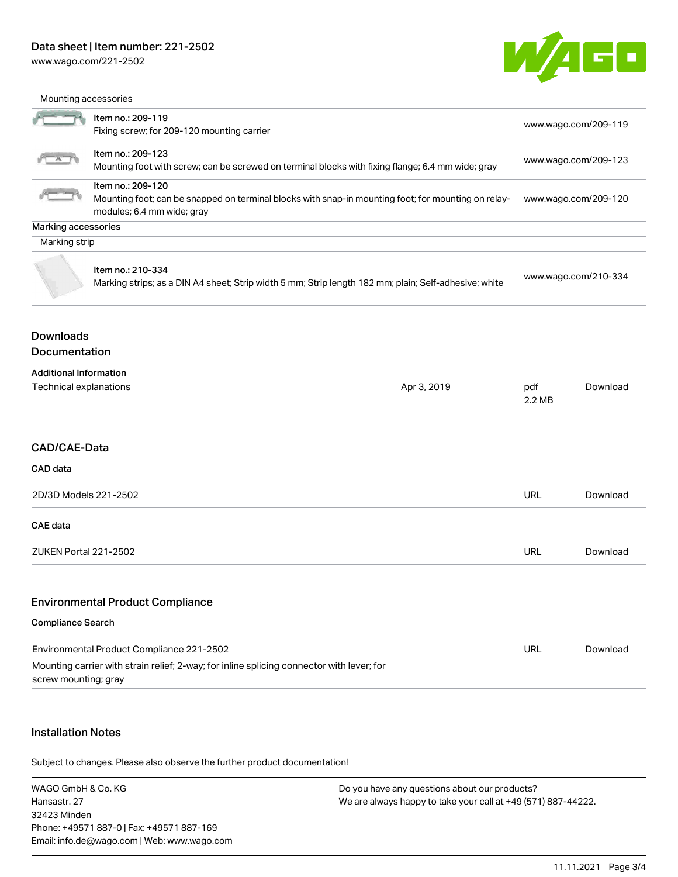### Data sheet | Item number: 221-2502

[www.wago.com/221-2502](http://www.wago.com/221-2502)



|                                                                                                                                                                                                                                                                                                                                                     | Mounting accessories                                                                                                                   |                                                                      |                      |                     |  |  |  |  |
|-----------------------------------------------------------------------------------------------------------------------------------------------------------------------------------------------------------------------------------------------------------------------------------------------------------------------------------------------------|----------------------------------------------------------------------------------------------------------------------------------------|----------------------------------------------------------------------|----------------------|---------------------|--|--|--|--|
| Item no.: 209-119<br>Fixing screw; for 209-120 mounting carrier<br>Item no.: 209-123<br>Mounting foot with screw; can be screwed on terminal blocks with fixing flange; 6.4 mm wide; gray<br>Item no.: 209-120<br>Mounting foot; can be snapped on terminal blocks with snap-in mounting foot; for mounting on relay-<br>modules; 6.4 mm wide; gray |                                                                                                                                        | www.wago.com/209-119<br>www.wago.com/209-123<br>www.wago.com/209-120 |                      |                     |  |  |  |  |
|                                                                                                                                                                                                                                                                                                                                                     |                                                                                                                                        |                                                                      |                      | Marking accessories |  |  |  |  |
|                                                                                                                                                                                                                                                                                                                                                     |                                                                                                                                        |                                                                      |                      | Marking strip       |  |  |  |  |
|                                                                                                                                                                                                                                                                                                                                                     | Item no.: 210-334<br>Marking strips; as a DIN A4 sheet; Strip width 5 mm; Strip length 182 mm; plain; Self-adhesive; white             |                                                                      | www.wago.com/210-334 |                     |  |  |  |  |
| <b>Downloads</b><br><b>Documentation</b>                                                                                                                                                                                                                                                                                                            |                                                                                                                                        |                                                                      |                      |                     |  |  |  |  |
|                                                                                                                                                                                                                                                                                                                                                     |                                                                                                                                        |                                                                      |                      |                     |  |  |  |  |
| <b>Additional Information</b><br>Technical explanations                                                                                                                                                                                                                                                                                             |                                                                                                                                        | Apr 3, 2019                                                          | pdf<br>$2.2$ MB      | Download            |  |  |  |  |
| CAD/CAE-Data                                                                                                                                                                                                                                                                                                                                        |                                                                                                                                        |                                                                      |                      |                     |  |  |  |  |
| CAD data                                                                                                                                                                                                                                                                                                                                            |                                                                                                                                        |                                                                      |                      |                     |  |  |  |  |
| 2D/3D Models 221-2502                                                                                                                                                                                                                                                                                                                               |                                                                                                                                        |                                                                      | URL                  | Download            |  |  |  |  |
| <b>CAE</b> data                                                                                                                                                                                                                                                                                                                                     |                                                                                                                                        |                                                                      |                      |                     |  |  |  |  |
| ZUKEN Portal 221-2502                                                                                                                                                                                                                                                                                                                               |                                                                                                                                        |                                                                      | <b>URL</b>           | Download            |  |  |  |  |
|                                                                                                                                                                                                                                                                                                                                                     | <b>Environmental Product Compliance</b>                                                                                                |                                                                      |                      |                     |  |  |  |  |
| <b>Compliance Search</b>                                                                                                                                                                                                                                                                                                                            |                                                                                                                                        |                                                                      |                      |                     |  |  |  |  |
| screw mounting; gray                                                                                                                                                                                                                                                                                                                                | Environmental Product Compliance 221-2502<br>Mounting carrier with strain relief; 2-way; for inline splicing connector with lever; for |                                                                      | <b>URL</b>           | Download            |  |  |  |  |

### Installation Notes

.<br>Subject to changes. Please also observe the further product documentation!

WAGO GmbH & Co. KG Hansastr. 27 32423 Minden Phone: +49571 887-0 | Fax: +49571 887-169 Email: info.de@wago.com | Web: www.wago.com Do you have any questions about our products? We are always happy to take your call at +49 (571) 887-44222.